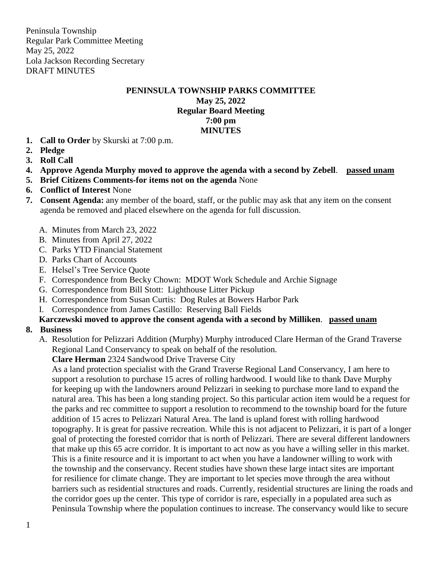#### **PENINSULA TOWNSHIP PARKS COMMITTEE**

#### **May 25, 2022 Regular Board Meeting 7:00 pm MINUTES**

- **1. Call to Order** by Skurski at 7:00 p.m.
- **2. Pledge**
- **3. Roll Call**
- **4. Approve Agenda Murphy moved to approve the agenda with a second by Zebell**. **passed unam**
- **5. Brief Citizens Comments-for items not on the agenda** None
- **6. Conflict of Interest** None
- **7. Consent Agenda:** any member of the board, staff, or the public may ask that any item on the consent agenda be removed and placed elsewhere on the agenda for full discussion.
	- A. Minutes from March 23, 2022
	- B. Minutes from April 27, 2022
	- C. Parks YTD Financial Statement
	- D. Parks Chart of Accounts
	- E. Helsel's Tree Service Quote
	- F. Correspondence from Becky Chown: MDOT Work Schedule and Archie Signage
	- G. Correspondence from Bill Stott: Lighthouse Litter Pickup
	- H. Correspondence from Susan Curtis: Dog Rules at Bowers Harbor Park
	- I. Correspondence from James Castillo: Reserving Ball Fields

# **Karczewski moved to approve the consent agenda with a second by Milliken**. **passed unam**

#### **8. Business**

A. Resolution for Pelizzari Addition (Murphy) Murphy introduced Clare Herman of the Grand Traverse Regional Land Conservancy to speak on behalf of the resolution.

**Clare Herman** 2324 Sandwood Drive Traverse City

As a land protection specialist with the Grand Traverse Regional Land Conservancy, I am here to support a resolution to purchase 15 acres of rolling hardwood. I would like to thank Dave Murphy for keeping up with the landowners around Pelizzari in seeking to purchase more land to expand the natural area. This has been a long standing project. So this particular action item would be a request for the parks and rec committee to support a resolution to recommend to the township board for the future addition of 15 acres to Pelizzari Natural Area. The land is upland forest with rolling hardwood topography. It is great for passive recreation. While this is not adjacent to Pelizzari, it is part of a longer goal of protecting the forested corridor that is north of Pelizzari. There are several different landowners that make up this 65 acre corridor. It is important to act now as you have a willing seller in this market. This is a finite resource and it is important to act when you have a landowner willing to work with the township and the conservancy. Recent studies have shown these large intact sites are important for resilience for climate change. They are important to let species move through the area without barriers such as residential structures and roads. Currently, residential structures are lining the roads and the corridor goes up the center. This type of corridor is rare, especially in a populated area such as Peninsula Township where the population continues to increase. The conservancy would like to secure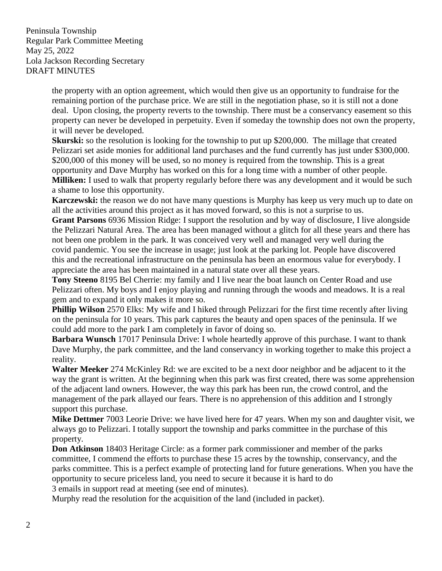> the property with an option agreement, which would then give us an opportunity to fundraise for the remaining portion of the purchase price. We are still in the negotiation phase, so it is still not a done deal. Upon closing, the property reverts to the township. There must be a conservancy easement so this property can never be developed in perpetuity. Even if someday the township does not own the property, it will never be developed.

> **Skurski:** so the resolution is looking for the township to put up \$200,000. The millage that created Pelizzari set aside monies for additional land purchases and the fund currently has just under \$300,000. \$200,000 of this money will be used, so no money is required from the township. This is a great opportunity and Dave Murphy has worked on this for a long time with a number of other people. **Milliken:** I used to walk that property regularly before there was any development and it would be such a shame to lose this opportunity.

> **Karczewski:** the reason we do not have many questions is Murphy has keep us very much up to date on all the activities around this project as it has moved forward, so this is not a surprise to us.

> **Grant Parsons** 6936 Mission Ridge: I support the resolution and by way of disclosure, I live alongside the Pelizzari Natural Area. The area has been managed without a glitch for all these years and there has not been one problem in the park. It was conceived very well and managed very well during the covid pandemic. You see the increase in usage; just look at the parking lot. People have discovered this and the recreational infrastructure on the peninsula has been an enormous value for everybody. I appreciate the area has been maintained in a natural state over all these years.

**Tony Steeno** 8195 Bel Cherrie: my family and I live near the boat launch on Center Road and use Pelizzari often. My boys and I enjoy playing and running through the woods and meadows. It is a real gem and to expand it only makes it more so.

**Phillip Wilson** 2570 Elks: My wife and I hiked through Pelizzari for the first time recently after living on the peninsula for 10 years. This park captures the beauty and open spaces of the peninsula. If we could add more to the park I am completely in favor of doing so.

**Barbara Wunsch** 17017 Peninsula Drive: I whole heartedly approve of this purchase. I want to thank Dave Murphy, the park committee, and the land conservancy in working together to make this project a reality.

**Walter Meeker** 274 McKinley Rd: we are excited to be a next door neighbor and be adjacent to it the way the grant is written. At the beginning when this park was first created, there was some apprehension of the adjacent land owners. However, the way this park has been run, the crowd control, and the management of the park allayed our fears. There is no apprehension of this addition and I strongly support this purchase.

**Mike Dettmer** 7003 Leorie Drive: we have lived here for 47 years. When my son and daughter visit, we always go to Pelizzari. I totally support the township and parks committee in the purchase of this property.

**Don Atkinson** 18403 Heritage Circle: as a former park commissioner and member of the parks committee, I commend the efforts to purchase these 15 acres by the township, conservancy, and the parks committee. This is a perfect example of protecting land for future generations. When you have the opportunity to secure priceless land, you need to secure it because it is hard to do 3 emails in support read at meeting (see end of minutes).

Murphy read the resolution for the acquisition of the land (included in packet).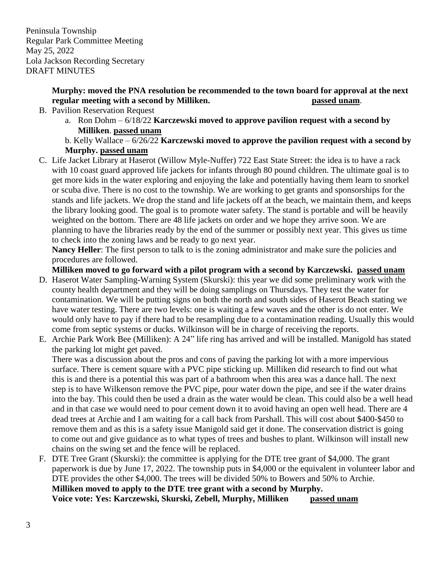### **Murphy: moved the PNA resolution be recommended to the town board for approval at the next regular meeting with a second by Milliken. passed unam**.

- B. Pavilion Reservation Request
	- a. Ron Dohm 6/18/22 **Karczewski moved to approve pavilion request with a second by Milliken**. **passed unam**

### b. Kelly Wallace – 6/26/22 **Karczewski moved to approve the pavilion request with a second by Murphy. passed unam**

C. Life Jacket Library at Haserot (Willow Myle-Nuffer) 722 East State Street: the idea is to have a rack with 10 coast guard approved life jackets for infants through 80 pound children. The ultimate goal is to get more kids in the water exploring and enjoying the lake and potentially having them learn to snorkel or scuba dive. There is no cost to the township. We are working to get grants and sponsorships for the stands and life jackets. We drop the stand and life jackets off at the beach, we maintain them, and keeps the library looking good. The goal is to promote water safety. The stand is portable and will be heavily weighted on the bottom. There are 48 life jackets on order and we hope they arrive soon. We are planning to have the libraries ready by the end of the summer or possibly next year. This gives us time to check into the zoning laws and be ready to go next year.

**Nancy Heller**: The first person to talk to is the zoning administrator and make sure the policies and procedures are followed.

**Milliken moved to go forward with a pilot program with a second by Karczewski. passed unam**

- D. Haserot Water Sampling-Warning System (Skurski): this year we did some preliminary work with the county health department and they will be doing samplings on Thursdays. They test the water for contamination. We will be putting signs on both the north and south sides of Haserot Beach stating we have water testing. There are two levels: one is waiting a few waves and the other is do not enter. We would only have to pay if there had to be resampling due to a contamination reading. Usually this would come from septic systems or ducks. Wilkinson will be in charge of receiving the reports.
- E. Archie Park Work Bee (Milliken): A 24" life ring has arrived and will be installed. Manigold has stated the parking lot might get paved.

There was a discussion about the pros and cons of paving the parking lot with a more impervious surface. There is cement square with a PVC pipe sticking up. Milliken did research to find out what this is and there is a potential this was part of a bathroom when this area was a dance hall. The next step is to have Wilkenson remove the PVC pipe, pour water down the pipe, and see if the water drains into the bay. This could then be used a drain as the water would be clean. This could also be a well head and in that case we would need to pour cement down it to avoid having an open well head. There are 4 dead trees at Archie and I am waiting for a call back from Parshall. This will cost about \$400-\$450 to remove them and as this is a safety issue Manigold said get it done. The conservation district is going to come out and give guidance as to what types of trees and bushes to plant. Wilkinson will install new chains on the swing set and the fence will be replaced.

F. DTE Tree Grant (Skurski): the committee is applying for the DTE tree grant of \$4,000. The grant paperwork is due by June 17, 2022. The township puts in \$4,000 or the equivalent in volunteer labor and DTE provides the other \$4,000. The trees will be divided 50% to Bowers and 50% to Archie. **Milliken moved to apply to the DTE tree grant with a second by Murphy. Voice vote: Yes: Karczewski, Skurski, Zebell, Murphy, Milliken passed unam**